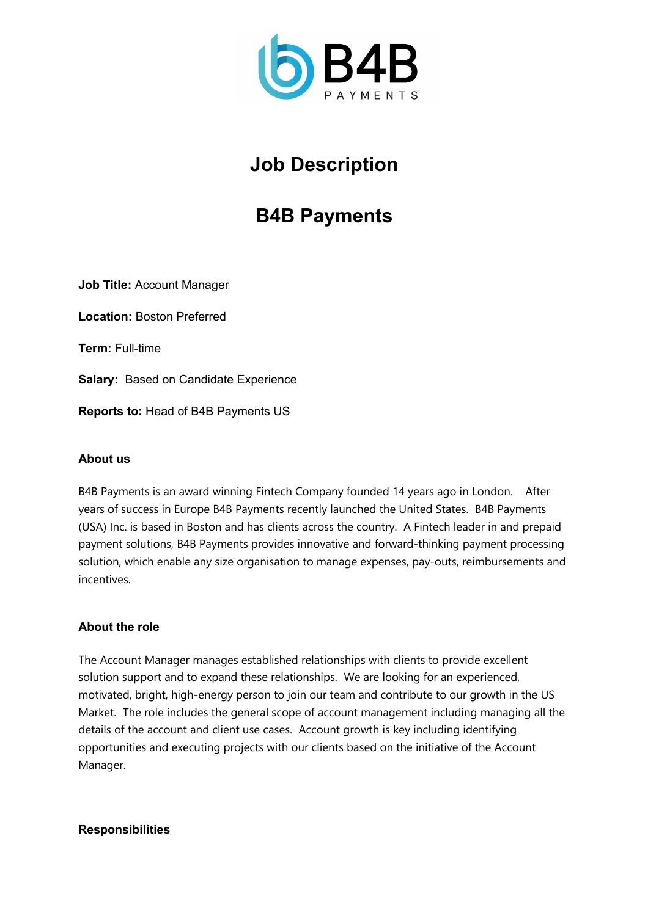

# **Job Description**

## **B4B Payments**

**Job Title:** Account Manager

**Location:** Boston Preferred

**Term:** Full-time

**Salary:** Based on Candidate Experience

**Reports to:** Head of B4B Payments US

## **About us**

B4B Payments is an award winning Fintech Company founded 14 years ago in London. After years of success in Europe B4B Payments recently launched the United States. B4B Payments (USA) Inc. is based in Boston and has clients across the country. A Fintech leader in and prepaid payment solutions, B4B Payments provides innovative and forward-thinking payment processing solution, which enable any size organisation to manage expenses, pay-outs, reimbursements and incentives.

#### **About the role**

The Account Manager manages established relationships with clients to provide excellent solution support and to expand these relationships. We are looking for an experienced, motivated, bright, high-energy person to join our team and contribute to our growth in the US Market. The role includes the general scope of account management including managing all the details of the account and client use cases. Account growth is key including identifying opportunities and executing projects with our clients based on the initiative of the Account Manager.

#### **Responsibilities**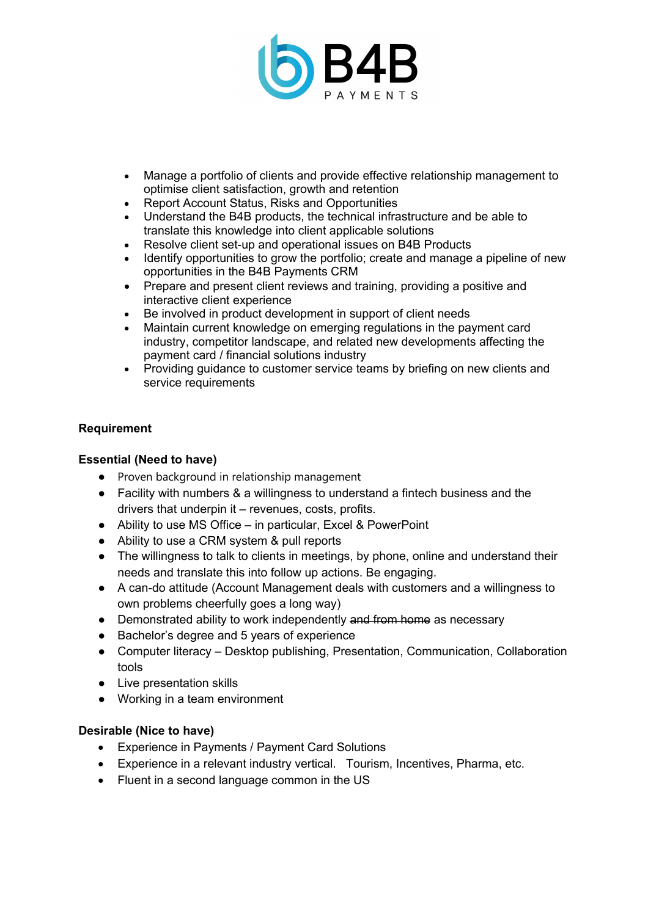

- Manage a portfolio of clients and provide effective relationship management to optimise client satisfaction, growth and retention
- Report Account Status, Risks and Opportunities
- Understand the B4B products, the technical infrastructure and be able to translate this knowledge into client applicable solutions
- Resolve client set-up and operational issues on B4B Products
- Identify opportunities to grow the portfolio; create and manage a pipeline of new opportunities in the B4B Payments CRM
- Prepare and present client reviews and training, providing a positive and interactive client experience
- Be involved in product development in support of client needs
- Maintain current knowledge on emerging regulations in the payment card industry, competitor landscape, and related new developments affecting the payment card / financial solutions industry
- Providing guidance to customer service teams by briefing on new clients and service requirements

## **Requirement**

## **Essential (Need to have)**

- Proven background in relationship management
- Facility with numbers & a willingness to understand a fintech business and the drivers that underpin it – revenues, costs, profits.
- Ability to use MS Office in particular, Excel & PowerPoint
- Ability to use a CRM system & pull reports
- The willingness to talk to clients in meetings, by phone, online and understand their needs and translate this into follow up actions. Be engaging.
- A can-do attitude (Account Management deals with customers and a willingness to own problems cheerfully goes a long way)
- Demonstrated ability to work independently and from home as necessary
- Bachelor's degree and 5 years of experience
- Computer literacy Desktop publishing, Presentation, Communication, Collaboration tools
- Live presentation skills
- Working in a team environment

#### **Desirable (Nice to have)**

- Experience in Payments / Payment Card Solutions
- Experience in a relevant industry vertical. Tourism, Incentives, Pharma, etc.
- Fluent in a second language common in the US